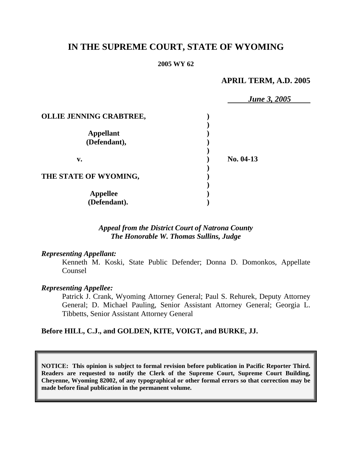# **IN THE SUPREME COURT, STATE OF WYOMING**

#### **2005 WY 62**

# **APRIL TERM, A.D. 2005**

|                         | <b>June 3, 2005</b> |  |
|-------------------------|---------------------|--|
| OLLIE JENNING CRABTREE, |                     |  |
|                         |                     |  |
| <b>Appellant</b>        |                     |  |
| (Defendant),            |                     |  |
| v.                      | No. 04-13           |  |
| THE STATE OF WYOMING,   |                     |  |
| <b>Appellee</b>         |                     |  |
| (Defendant).            |                     |  |

# *Appeal from the District Court of Natrona County The Honorable W. Thomas Sullins, Judge*

## *Representing Appellant:*

Kenneth M. Koski, State Public Defender; Donna D. Domonkos, Appellate Counsel

#### *Representing Appellee:*

Patrick J. Crank, Wyoming Attorney General; Paul S. Rehurek, Deputy Attorney General; D. Michael Pauling, Senior Assistant Attorney General; Georgia L. Tibbetts, Senior Assistant Attorney General

## **Before HILL, C.J., and GOLDEN, KITE, VOIGT, and BURKE, JJ.**

**NOTICE: This opinion is subject to formal revision before publication in Pacific Reporter Third. Readers are requested to notify the Clerk of the Supreme Court, Supreme Court Building, Cheyenne, Wyoming 82002, of any typographical or other formal errors so that correction may be made before final publication in the permanent volume.**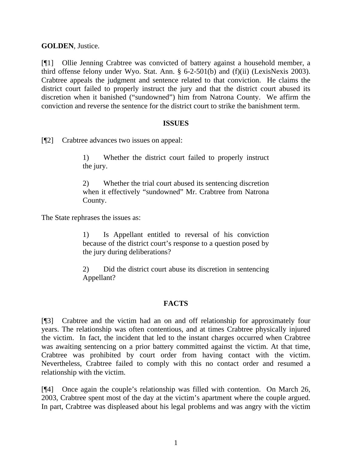**GOLDEN**, Justice.

[¶1] Ollie Jenning Crabtree was convicted of battery against a household member, a third offense felony under Wyo. Stat. Ann. § 6-2-501(b) and (f)(ii) (LexisNexis 2003). Crabtree appeals the judgment and sentence related to that conviction. He claims the district court failed to properly instruct the jury and that the district court abused its discretion when it banished ("sundowned") him from Natrona County. We affirm the conviction and reverse the sentence for the district court to strike the banishment term.

## **ISSUES**

[¶2] Crabtree advances two issues on appeal:

1) Whether the district court failed to properly instruct the jury.

2) Whether the trial court abused its sentencing discretion when it effectively "sundowned" Mr. Crabtree from Natrona County.

The State rephrases the issues as:

1) Is Appellant entitled to reversal of his conviction because of the district court's response to a question posed by the jury during deliberations?

2) Did the district court abuse its discretion in sentencing Appellant?

# **FACTS**

[¶3] Crabtree and the victim had an on and off relationship for approximately four years. The relationship was often contentious, and at times Crabtree physically injured the victim. In fact, the incident that led to the instant charges occurred when Crabtree was awaiting sentencing on a prior battery committed against the victim. At that time, Crabtree was prohibited by court order from having contact with the victim. Nevertheless, Crabtree failed to comply with this no contact order and resumed a relationship with the victim.

[¶4] Once again the couple's relationship was filled with contention. On March 26, 2003, Crabtree spent most of the day at the victim's apartment where the couple argued. In part, Crabtree was displeased about his legal problems and was angry with the victim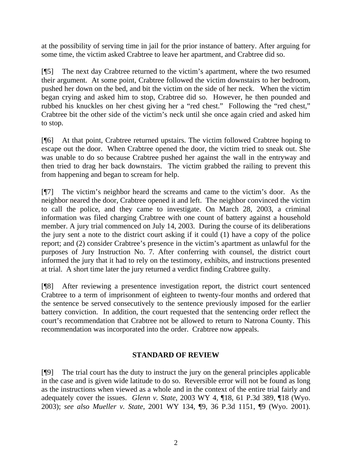at the possibility of serving time in jail for the prior instance of battery. After arguing for some time, the victim asked Crabtree to leave her apartment, and Crabtree did so.

[¶5] The next day Crabtree returned to the victim's apartment, where the two resumed their argument. At some point, Crabtree followed the victim downstairs to her bedroom, pushed her down on the bed, and bit the victim on the side of her neck. When the victim began crying and asked him to stop, Crabtree did so. However, he then pounded and rubbed his knuckles on her chest giving her a "red chest." Following the "red chest," Crabtree bit the other side of the victim's neck until she once again cried and asked him to stop.

[¶6] At that point, Crabtree returned upstairs. The victim followed Crabtree hoping to escape out the door. When Crabtree opened the door, the victim tried to sneak out. She was unable to do so because Crabtree pushed her against the wall in the entryway and then tried to drag her back downstairs. The victim grabbed the railing to prevent this from happening and began to scream for help.

[¶7] The victim's neighbor heard the screams and came to the victim's door. As the neighbor neared the door, Crabtree opened it and left. The neighbor convinced the victim to call the police, and they came to investigate. On March 28, 2003, a criminal information was filed charging Crabtree with one count of battery against a household member. A jury trial commenced on July 14, 2003. During the course of its deliberations the jury sent a note to the district court asking if it could (1) have a copy of the police report; and (2) consider Crabtree's presence in the victim's apartment as unlawful for the purposes of Jury Instruction No. 7. After conferring with counsel, the district court informed the jury that it had to rely on the testimony, exhibits, and instructions presented at trial. A short time later the jury returned a verdict finding Crabtree guilty.

[¶8] After reviewing a presentence investigation report, the district court sentenced Crabtree to a term of imprisonment of eighteen to twenty-four months and ordered that the sentence be served consecutively to the sentence previously imposed for the earlier battery conviction. In addition, the court requested that the sentencing order reflect the court's recommendation that Crabtree not be allowed to return to Natrona County. This recommendation was incorporated into the order. Crabtree now appeals.

# **STANDARD OF REVIEW**

[¶9] The trial court has the duty to instruct the jury on the general principles applicable in the case and is given wide latitude to do so. Reversible error will not be found as long as the instructions when viewed as a whole and in the context of the entire trial fairly and adequately cover the issues. *Glenn v. State*, 2003 WY 4, ¶18, 61 P.3d 389, ¶18 (Wyo. 2003); *see also Mueller v. State*, 2001 WY 134, ¶9, 36 P.3d 1151, ¶9 (Wyo. 2001).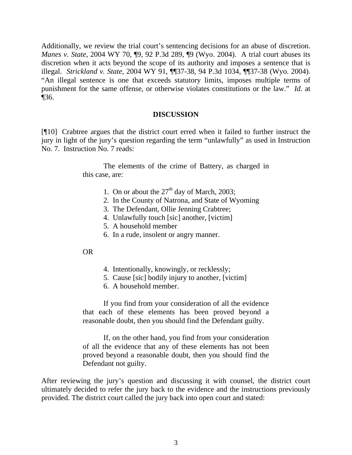Additionally, we review the trial court's sentencing decisions for an abuse of discretion. *Manes v. State*, 2004 WY 70, 19, 92 P.3d 289, 19 (Wyo. 2004). A trial court abuses its discretion when it acts beyond the scope of its authority and imposes a sentence that is illegal. *Strickland v. State*, 2004 WY 91, ¶¶37-38, 94 P.3d 1034, ¶¶37-38 (Wyo. 2004). "An illegal sentence is one that exceeds statutory limits, imposes multiple terms of punishment for the same offense, or otherwise violates constitutions or the law." *Id*. at ¶36.

## **DISCUSSION**

[¶10] Crabtree argues that the district court erred when it failed to further instruct the jury in light of the jury's question regarding the term "unlawfully" as used in Instruction No. 7. Instruction No. 7 reads:

> The elements of the crime of Battery, as charged in this case, are:

- 1. On or about the  $27<sup>th</sup>$  day of March, 2003;
- 2. In the County of Natrona, and State of Wyoming
- 3. The Defendant, Ollie Jenning Crabtree;
- 4. Unlawfully touch [sic] another, [victim]
- 5. A household member
- 6. In a rude, insolent or angry manner.

## OR

- 4. Intentionally, knowingly, or recklessly;
- 5. Cause [sic] bodily injury to another, [victim]
- 6. A household member.

If you find from your consideration of all the evidence that each of these elements has been proved beyond a reasonable doubt, then you should find the Defendant guilty.

If, on the other hand, you find from your consideration of all the evidence that any of these elements has not been proved beyond a reasonable doubt, then you should find the Defendant not guilty.

After reviewing the jury's question and discussing it with counsel, the district court ultimately decided to refer the jury back to the evidence and the instructions previously provided. The district court called the jury back into open court and stated: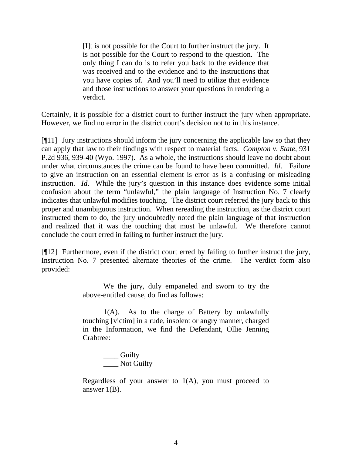[I]t is not possible for the Court to further instruct the jury. It is not possible for the Court to respond to the question. The only thing I can do is to refer you back to the evidence that was received and to the evidence and to the instructions that you have copies of. And you'll need to utilize that evidence and those instructions to answer your questions in rendering a verdict.

Certainly, it is possible for a district court to further instruct the jury when appropriate. However, we find no error in the district court's decision not to in this instance.

[¶11] Jury instructions should inform the jury concerning the applicable law so that they can apply that law to their findings with respect to material facts. *Compton v. State*, 931 P.2d 936, 939-40 (Wyo. 1997). As a whole, the instructions should leave no doubt about under what circumstances the crime can be found to have been committed. *Id*. Failure to give an instruction on an essential element is error as is a confusing or misleading instruction. *Id*. While the jury's question in this instance does evidence some initial confusion about the term "unlawful," the plain language of Instruction No. 7 clearly indicates that unlawful modifies touching. The district court referred the jury back to this proper and unambiguous instruction. When rereading the instruction, as the district court instructed them to do, the jury undoubtedly noted the plain language of that instruction and realized that it was the touching that must be unlawful. We therefore cannot conclude the court erred in failing to further instruct the jury.

[¶12] Furthermore, even if the district court erred by failing to further instruct the jury, Instruction No. 7 presented alternate theories of the crime. The verdict form also provided:

> We the jury, duly empaneled and sworn to try the above-entitled cause, do find as follows:

> 1(A). As to the charge of Battery by unlawfully touching [victim] in a rude, insolent or angry manner, charged in the Information, we find the Defendant, Ollie Jenning Crabtree:

\_\_\_\_ Guilty \_\_\_\_ Not Guilty

Regardless of your answer to  $1(A)$ , you must proceed to answer 1(B).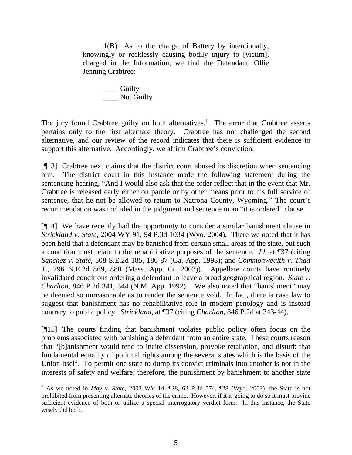1(B). As to the charge of Battery by intentionally, knowingly or recklessly causing bodily injury to [victim], charged in the Information, we find the Defendant, Ollie Jenning Crabtree:

> \_\_\_\_ Guilty \_\_\_\_ Not Guilty

The jury found Crabtree guilty on both alternatives.<sup>[1](#page-5-0)</sup> The error that Crabtree asserts pertains only to the first alternate theory. Crabtree has not challenged the second alternative, and our review of the record indicates that there is sufficient evidence to support this alternative. Accordingly, we affirm Crabtree's conviction.

[¶13] Crabtree next claims that the district court abused its discretion when sentencing him. The district court in this instance made the following statement during the sentencing hearing, "And I would also ask that the order reflect that in the event that Mr. Crabtree is released early either on parole or by other means prior to his full service of sentence, that he not be allowed to return to Natrona County, Wyoming." The court's recommendation was included in the judgment and sentence in an "it is ordered" clause.

[¶14] We have recently had the opportunity to consider a similar banishment clause in *Strickland v. State*, 2004 WY 91, 94 P.3d 1034 (Wyo. 2004). There we noted that it has been held that a defendant may be banished from certain small areas of the state, but such a condition must relate to the rehabilitative purposes of the sentence. *Id*. at ¶37 (citing *Sanchez v. State*, 508 S.E.2d 185, 186-87 (Ga. App. 1998); and *Commonwealth v. Thad T*., 796 N.E.2d 869, 880 (Mass. App. Ct. 2003)). Appellate courts have routinely invalidated conditions ordering a defendant to leave a broad geographical region. *State v. Charlton*, 846 P.2d 341, 344 (N.M. App. 1992). We also noted that "banishment" may be deemed so unreasonable as to render the sentence void. In fact, there is case law to suggest that banishment has no rehabilitative role in modern penology and is instead contrary to public policy. *Strickland*, at ¶37 (citing *Charlton*, 846 P.2d at 343-44).

[¶15] The courts finding that banishment violates public policy often focus on the problems associated with banishing a defendant from an entire state. These courts reason that "[b]anishment would tend to incite dissension, provoke retaliation, and disturb that fundamental equality of political rights among the several states which is the basis of the Union itself. To permit one state to dump its convict criminals into another is not in the interests of safety and welfare; therefore, the punishment by banishment to another state

<span id="page-5-0"></span> 1 As we noted in *May v. State*, 2003 WY 14, ¶28, 62 P.3d 574, ¶28 (Wyo. 2003), the State is not prohibited from presenting alternate theories of the crime. However, if it is going to do so it must provide sufficient evidence of both or utilize a special interrogatory verdict form. In this instance, the State wisely did both.